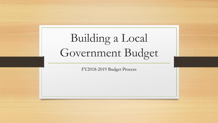# Building a Local Government Budget

FY2018-2019 Budget Process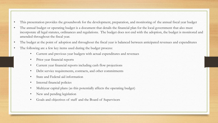- This presentation provides the groundwork for the development, preparation, and monitoring of the annual fiscal year budget
- The annual budget or operating budget is a document that details the financial plan for the local government that also must incorporate all legal statutes, ordinances and regulations. The budget does not end with the adoption, the budget is monitored and amended throughout the fiscal year.
- The budget at the point of adoption and throughout the fiscal year is balanced between anticipated revenues and expenditures
- The following are a few key items used during the budget process:
	- Current and previous year budgets with actual expenditures and revenues
	- Prior year financial reports
	- Current year financial reports including cash flow projections
	- Debt service requirements, contracts, and other commitments
	- State and Federal aid information
	- Internal financial policies
	- Multiyear capital plans (as this potentially affects the operating budget)
	- New and pending legislation
	- Goals and objectives of staff and the Board of Supervisors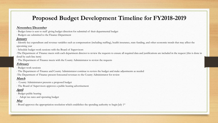## **Proposed Budget Development Timeline for FY2018-2019**

#### **November/December**

- Budget letter is sent to staff giving budget direction for submittal of their departmental budget

- Budgets are submitted to the Finance Department

#### **January**

- Identify key expenditure and revenue variables such as compensation (including staffing), health insurance, state funding, and other economic trends that may affect the upcoming year

- Schedule budget work sessions with the Board of Supervisors

-The Department of Finance meets with each department director to review the requests to ensure all required data and justifications are included in the request (this is done in detail by each line item)

- The Department of Finance meets with the County Administrator to review the requests

#### **February**

- Budget work sessions
- The Department of Finance and County Administrator continue to review the budget and make adjustments as needed

-The Department of Finance present forecasted revenues to the County Administrator for review

#### **March**

- County Administrator presents a proposed budget

- The Board of Supervisors approves a public hearing advertisement

### **April**

- Budget public hearing

- Adopt tax rates and operating budget

#### **May**

- Board approves the appropriation resolution which establishes the spending authority to begin July 1<sup>st</sup>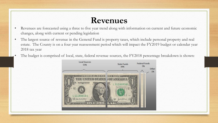## **Revenues**

- Revenues are forecasted using a three to five year trend along with information on current and future economic changes, along with current or pending legislation
- The largest source of revenue in the General Fund is property taxes, which include personal property and real estate. The County is on a four year reassessment period which will impact the FY2019 budget or calendar year 2018 tax year
- The budget is comprised of local, state, federal revenue sources, the FY2018 percentage breakdown is shown:

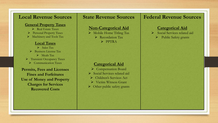### **Local Revenue Sources**

#### **General Property Taxes**

- Real Estate Taxes
- Personal Property Taxes
- $\triangleright$  Machinery and Tools Tax

#### **Local Taxes**

 $\triangleright$  Sales Tax Business License Tax  $\triangleright$  Meals Tax **F** Transient Occupancy Taxes Communication Taxes

### **Permits, Fees and Licenses Fines and Forfeitures Use of Money and Property Charges for Services Recovered Costs**

## **State Revenue Sources**

### **Non-Categorical Aid**

- Mobile Home Titling Tax
	- P Recordation Tax
		- $\triangleright$  PPTRA

### **Categorical Aid**

- ▶ Compensation Board
- ▶ Social Services related aid
- Children's Services Act
- ▶ Victim Witness Grant
- $\triangleright$  Other public safety grants

## **Federal Revenue Sources**

### **Categorical Aid**

- Social Services related aid
	- $\triangleright$  Public Safety grants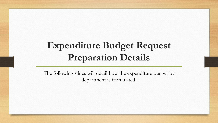## **Expenditure Budget Request Preparation Details**

The following slides will detail how the expenditure budget by department is formulated.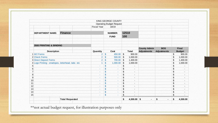|                                                   |                        |                    | KING GEORGE COUNTY              |                                                                 |                     |                      |                                |  |
|---------------------------------------------------|------------------------|--------------------|---------------------------------|-----------------------------------------------------------------|---------------------|----------------------|--------------------------------|--|
|                                                   |                        |                    | <b>Operating Budget Request</b> |                                                                 |                     |                      |                                |  |
|                                                   |                        | <b>Fiscal Year</b> | 18/19                           |                                                                 |                     |                      |                                |  |
|                                                   |                        |                    |                                 |                                                                 |                     |                      |                                |  |
| <b>DEPARTMENT NAME:</b>                           | <b>Finance</b>         |                    | <b>NUMBER:</b>                  | 12510                                                           |                     |                      |                                |  |
|                                                   |                        |                    | <b>FUND</b>                     | 100                                                             |                     |                      |                                |  |
|                                                   |                        |                    |                                 |                                                                 |                     |                      |                                |  |
| 3500 PRINTING & BINDING                           |                        |                    |                                 |                                                                 |                     |                      |                                |  |
|                                                   |                        |                    |                                 |                                                                 | <b>County Admin</b> | <b>BOS</b>           | Final<br><b>Budget</b>         |  |
| <b>Description</b>                                |                        | Quantity           | Cost                            | <b>Total</b>                                                    | <b>Adjustments</b>  | <b>Adjustments</b>   |                                |  |
| 1 W2 Forms                                        |                        | $\overline{2}$     | 450.00<br>$\sqrt{2}$            | \$<br>900.00                                                    |                     |                      | 900.00<br>\$                   |  |
| 2 Check Forms                                     |                        | $\overline{2}$     | \$<br>500.00                    | \$<br>1,000.00                                                  |                     |                      | \$<br>1,000.00                 |  |
| 3 Direct Deposit Forms                            |                        | $\overline{2}$     | $\sqrt{2}$<br>700.00            | $\sqrt{2}$<br>1,400.00                                          |                     |                      | \$<br>1,400.00                 |  |
| 4 Logo Printing - envelopes, letterhead, tabs etc |                        | 1                  | $\mathbf{\$}$<br>1,000.00       | \$<br>1,000.00                                                  |                     |                      | \$<br>1,000.00                 |  |
| 5                                                 |                        | ÷                  | \$<br>u,                        | \$<br>$\blacksquare$                                            |                     |                      | \$                             |  |
| 6                                                 |                        | ۰                  | \$<br>×                         | \$<br>$\blacksquare$                                            |                     |                      | \$<br>$\blacksquare$           |  |
| $\overline{7}$                                    |                        | ٠                  | $\mathsf{\$}$<br>÷              | \$<br>$\blacksquare$                                            |                     |                      | \$<br>$\blacksquare$           |  |
| 8                                                 |                        | ٠                  | \$<br>$\overline{\phantom{a}}$  | \$<br>$\overline{\phantom{a}}$                                  |                     |                      | \$<br>$\blacksquare$           |  |
| $\boldsymbol{9}$                                  |                        | ٠                  | \$<br>٠                         | $\, \, \$$<br>$\overline{\phantom{a}}$                          |                     |                      | \$<br>$\blacksquare$           |  |
| 10                                                |                        | ÷                  | \$<br>G.                        | \$<br>$\overline{\phantom{a}}$                                  |                     |                      | \$<br>$\blacksquare$           |  |
| 11                                                |                        |                    | \$<br>٠                         | \$<br>$\qquad \qquad \blacksquare$                              |                     |                      | \$                             |  |
| 12                                                |                        | ٠                  | \$<br>٠                         | $\boldsymbol{\$}$<br>$\blacksquare$                             |                     |                      | \$<br>$\overline{\phantom{a}}$ |  |
| 13                                                |                        | ٠                  | \$<br>÷.                        | \$<br>$\blacksquare$                                            |                     |                      | \$<br>$\blacksquare$           |  |
| 14                                                |                        | ٠                  | \$<br>٠                         | $\, \, \raisebox{12pt}{$\scriptstyle \circ$}$<br>$\blacksquare$ |                     |                      | \$<br>$\overline{\phantom{a}}$ |  |
| 15                                                |                        | ٠                  | \$<br>٠                         | \$<br>٠                                                         |                     |                      | \$<br>$\blacksquare$           |  |
|                                                   | <b>Total Requested</b> |                    |                                 | \$<br>4,300.00 \$                                               | ۰                   | \$<br>$\blacksquare$ | \$<br>4,300.00                 |  |
|                                                   |                        |                    |                                 |                                                                 |                     |                      |                                |  |

\*\*not actual budget request, for illustration purposes only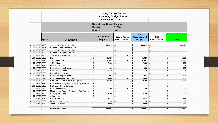|                  |        |                                              | Fiscal Year: 18/19                                    | <b>King George County</b><br><b>Operating Budget Request</b> |                                           |                                  |                          |                                |
|------------------|--------|----------------------------------------------|-------------------------------------------------------|--------------------------------------------------------------|-------------------------------------------|----------------------------------|--------------------------|--------------------------------|
|                  |        |                                              | <b>Department Name Finance</b><br>Dept#<br>Fund #     | 12510<br>100                                                 |                                           |                                  |                          |                                |
|                  | Acct # | <b>Description</b>                           | <b>Department</b><br><b>Request</b>                   | <b>County Admin</b><br><b>ADJUSTMENTS</b>                    | CA<br><b>Recommended</b><br><b>Budget</b> | <b>BOS</b><br><b>ADJUSTMENTS</b> |                          | <b>BUDGET</b>                  |
| 4 100 12510 1100 |        | Salaries & Wages - Regular                   | \$<br>548,025                                         | $\boldsymbol{\mathsf{S}}$<br>$\overline{a}$                  | \$<br>548,025                             | $\mathfrak{S}$                   | $\overline{\phantom{a}}$ | \$<br>548,025                  |
| 4 100 12510 1101 |        | Salaries - Shift Differential Pay            | \$                                                    | \$<br>L.                                                     | \$                                        | $\sqrt[6]{2}$                    |                          | \$                             |
| 4 100 12510 1200 |        | Salaries & Wages - Overtime                  | $\boldsymbol{\mathsf{S}}$<br>$\overline{\phantom{a}}$ | \$<br>$\overline{\phantom{a}}$                               | \$                                        | $\sqrt[6]{2}$                    |                          | \$                             |
| 4 100 12510 1300 |        | Salaries & Wages - Part time                 | \$<br>$\overline{\phantom{a}}$                        | $\boldsymbol{\mathsf{S}}$<br>$\overline{a}$                  | \$                                        | $\sqrt[6]{\frac{1}{2}}$          | $\overline{\phantom{a}}$ | \$<br>$\overline{\phantom{a}}$ |
| 4 100 12510 1400 |        | Salaries & Wages - Part time                 | \$                                                    | \$<br>$\overline{\phantom{a}}$                               | \$                                        | \$                               | $\overline{\phantom{a}}$ | \$<br>$\overline{\phantom{a}}$ |
| 4 100 12510 2100 |        | <b>FICA</b>                                  | \$<br>41,925                                          | \$<br>$\overline{\phantom{a}}$                               | \$<br>41,925                              | \$                               | $\overline{\phantom{a}}$ | \$<br>41,925                   |
| 4 100 12510 2210 |        | <b>VRS</b> Retirement                        | \$<br>37,861 \$                                       | $\overline{\phantom{a}}$                                     | \$<br>37,861                              | \$                               | $\overline{\phantom{a}}$ | \$<br>37,861                   |
| 4 100 12510 2220 |        | <b>VRS Hybrid</b>                            | \$<br>$2,638$ \$                                      | $\overline{a}$                                               | \$<br>2,638                               | \$                               | $\overline{\phantom{a}}$ | \$<br>2,638                    |
| 4 100 12510 2510 |        | <b>Disability Hybrid</b>                     | \$                                                    | $214$ \$<br>$\overline{\phantom{a}}$                         | \$<br>214                                 | $\mathfrak{S}$                   | $\overline{\phantom{a}}$ | \$<br>214                      |
| 4 100 12510 2300 |        | <b>Health Insurance Premiums</b>             | \$<br>111,688 \$                                      | $\overline{\phantom{a}}$                                     | \$<br>111,688                             | $\mathcal{L}$                    | $\overline{\phantom{a}}$ | \$<br>111,688                  |
| 4 100 12510 2400 |        | <b>VRS Life Insurance</b>                    | \$<br>7.179                                           | $\sqrt{3}$<br>$\overline{\phantom{a}}$                       | \$<br>7.179                               | $\sqrt{2}$                       | $\overline{\phantom{a}}$ | \$<br>7,179                    |
| 4 100 12510 2600 |        | Unemployment Insurance                       | \$                                                    | \$<br>٠                                                      | \$                                        | $$\mathbb{S}$$                   |                          | \$                             |
| 4 100 12510 2700 |        | Worker's Comp Insurance                      | \$<br>604                                             | \$<br>L,                                                     | \$<br>604                                 | \$                               |                          | \$<br>604                      |
| 4 100 12510 3110 |        | Prof. Serv - Health Services                 | \$<br>4,800 \$                                        | ٠                                                            | \$<br>4,800                               | $\mathbf{\hat{s}}$               |                          | \$<br>4,800                    |
| 4 100 12510 3120 |        | Prof. Serv - Accounting/Auditing Services    | \$<br>72,100                                          | $\sqrt{3}$<br>$\overline{\phantom{a}}$                       | \$<br>72,100                              | ا\$″                             | $\overline{a}$           | \$<br>72,100                   |
| 4 100 12510 3130 |        | Prof. Serv - Management Consulting Services  | \$                                                    | \$<br>$\overline{\phantom{a}}$                               | \$                                        | \$                               | $\overline{\phantom{a}}$ | \$<br>$\overline{\phantom{a}}$ |
| 4 100 12510 3150 |        | Prof. Serv - Legal Services                  | \$                                                    | \$<br>$\overline{\phantom{a}}$                               | \$                                        | \$                               | $\overline{\phantom{a}}$ | \$                             |
| 4 100 12510 3160 |        | Prof. Serv - Other                           | \$<br>700                                             | $\mathbf{s}$<br>$\overline{\phantom{a}}$                     | \$<br>700                                 | ″\$                              | $\overline{\phantom{a}}$ | \$<br>700                      |
| 4 100 12510 3320 |        | Maintenance Service Contracts - Con Services | \$                                                    | $\mathbf{s}$<br>$\overline{a}$                               | \$                                        | ″\$                              | $\blacksquare$           | \$                             |
| 4 100 12510 3500 |        | Printing & Binding                           | \$<br>4,300                                           | '\$<br>$\overline{\phantom{a}}$                              | \$<br>4,300                               | ′\$                              | $\overline{\phantom{a}}$ | \$<br>4,300                    |
| 4 100 12510 3600 |        | Advertising                                  | \$                                                    | \$<br>$\overline{\phantom{a}}$                               | \$<br>$\sim$                              | ا \$″                            | $\overline{a}$           | \$<br>$\sim$                   |
| 4 100 12510 5210 |        | <b>Postal Services</b>                       | \$<br>4,848                                           | $\mathbf{s}$<br>$\blacksquare$                               | \$<br>4,848                               | "s                               | $\overline{\phantom{a}}$ | \$<br>4,848                    |
| 4 100 12510 5220 |        | <b>Messenger Services</b>                    | \$<br>150                                             | ٦\$<br>$\overline{a}$                                        | \$<br>150                                 | $\sqrt{s}$                       | $\overline{\phantom{a}}$ | \$<br>150                      |
| 4 100 12510 5230 |        | Telecommunications                           | $3,960$ \$<br>\$                                      | L,                                                           | \$<br>$3,960$ \$                          |                                  |                          | \$<br>3,960                    |
|                  |        | <b>Department Total</b>                      | \$<br>840,992 \$                                      | $\blacksquare$                                               | \$<br>840,992 \$                          |                                  | $\blacksquare$           | \$<br>840,992                  |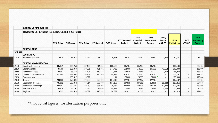|          | <b>County Of King George</b>                            |                    |                    |                    |                    |                    |                                      |                                         |                                             |                                         |                                   |                             |                                                    |
|----------|---------------------------------------------------------|--------------------|--------------------|--------------------|--------------------|--------------------|--------------------------------------|-----------------------------------------|---------------------------------------------|-----------------------------------------|-----------------------------------|-----------------------------|----------------------------------------------------|
|          | <b>HISTORIC EXPENDITURES &amp; BUDGETS FY 2017-2018</b> |                    |                    |                    |                    |                    |                                      |                                         |                                             |                                         |                                   |                             |                                                    |
|          |                                                         | <b>FY12 Actual</b> | <b>FY13 Actual</b> | <b>FY14 Actual</b> | <b>FY15 Actual</b> | <b>FY16 Actual</b> | <b>FY17 Adopted</b><br><b>Budget</b> | <b>FY17</b><br>Amended<br><b>Budget</b> | <b>FY18</b><br><b>Department</b><br>Request | County<br><b>Admin</b><br><b>ADJUST</b> | <b>FY18</b><br><b>Preliminary</b> | <b>BOS</b><br><b>ADJUST</b> | <b>FY18</b><br><b>Preliminary</b><br><b>Budget</b> |
|          | <b>GENERAL FUND</b>                                     |                    |                    |                    |                    |                    |                                      |                                         |                                             |                                         |                                   |                             |                                                    |
| Fund 100 |                                                         |                    |                    |                    |                    |                    |                                      |                                         |                                             |                                         |                                   |                             |                                                    |
|          | <b>LEGISLATIVE</b>                                      |                    |                    |                    |                    |                    |                                      |                                         |                                             |                                         |                                   |                             |                                                    |
| 11010    | <b>Board of Supervisors</b>                             | 70,419             | 63,018             | 61,974             | 67,318             | 76,748             | 82,141                               | 82,141                                  | 80,641                                      | 1,500                                   | 82,141                            | $\overline{\phantom{a}}$    | 82,141                                             |
|          | <b>GENERAL ADMINISTRATION</b>                           |                    |                    |                    |                    |                    |                                      |                                         |                                             |                                         |                                   |                             |                                                    |
| 12110    | County Administrator                                    | 385,371            | 339,256            | 337,126            | 314,804            | 335,588            | 335,134                              | 335,134                                 | 335,134                                     | $\blacksquare$                          | 335,134                           | $\blacksquare$              | 335,134                                            |
| 12210    | <b>County Attorney</b>                                  | 84,766             | 126,873            | 279,381            | 421,881            | 247,762            | 162,000                              | 162,000                                 | 205,112                                     | (43, 112)                               | 162,000                           | $\blacksquare$              | 162,000                                            |
| 12220    | <b>Human Resources</b>                                  | 38,961             | 65,563             | 84,401             | 110,118            | 143,177            | 158,848                              | 158,848                                 | 161,727                                     | (2,879)                                 | 158,848                           | $\blacksquare$              | 158,848                                            |
| 12310    | <b>Commissioner of Revenue</b>                          | 327,540            | 363,564            | 366,849            | 380,469            | 385,395            | 373,151                              | 373,151                                 | 373,151                                     | $\sim$                                  | 373,151                           | $\blacksquare$              | 373,151                                            |
| 12320    | Reassessment                                            |                    | 138,517            | 25,699             | $\blacksquare$     | 41                 | 175,000                              | 175,000                                 | 175,000                                     | $\blacksquare$                          | 175,000                           | $\sim$                      | 175,000                                            |
| 12410    | Treasurer                                               | 293,953            | 273,694            | 279,296            | 277,920            | 307,813            | 327,137                              | 327,137                                 | 327,137                                     | $\overline{\phantom{a}}$                | 327,137                           | L.                          | 327,137                                            |
| 12510    | Department of Finance                                   | 795,812            | 793,943            | 777,514            | 800,060            | 817,153            | 827,016                              | 827,016                                 | 852,016                                     | (25,000)                                | 827,016                           | $\overline{\phantom{0}}$    | 827,016                                            |
| 12600    | Information Technology                                  | 238,967            | 332,435            | 319,259            | 336,802            | 326,262            | 439,695                              | 439,695                                 | 527,185                                     | (87, 490)                               | 439,695                           | $\mathcal{L}^{\mathcal{L}}$ | 439,695                                            |
| 13100    | <b>Electoral Board</b>                                  | 53,678             | 44,191             | 34,424             | 35,036             | 55,291             | 70,585                               | 70,585                                  | 73,585                                      | (3,000)                                 | 70,585                            | $\blacksquare$              | 70,585                                             |
| 13200    | Registrar                                               | 116,523            | 114,513            | 110,637            | 110,592            | 150,683            | 191,013                              | 191,013                                 | 191,013                                     | $\blacksquare$                          | 191,013                           | $\blacksquare$              | 191,013                                            |

\*\*not actual figures, for illustration purposes only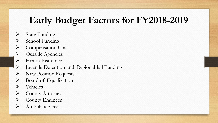## **Early Budget Factors for FY2018-2019**

- $\triangleright$  State Funding
- School Funding
- Compensation Cost
- > Outside Agencies
- Health Insurance
- Juvenile Detention and Regional Jail Funding
- New Position Requests
- Board of Equalization
- $\triangleright$  Vehicles
- ▶ County Attorney
- **E** County Engineer
- Ambulance Fees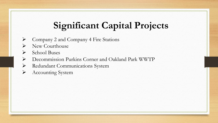## **Significant Capital Projects**

- Company 2 and Company 4 Fire Stations
- $\triangleright$  New Courthouse
- **►** School Buses
- Decommission Purkins Corner and Oakland Park WWTP
- Redundant Communications System
- Accounting System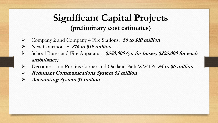## **Significant Capital Projects (preliminary cost estimates)**

- Company 2 and Company 4 Fire Stations: **\$8 to \$10 million**
- New Courthouse: **\$16 to \$19 million**
- School Buses and Fire Apparatus: **\$550,000/yr. for buses; \$225,000 for each ambulance;**
- Decommission Purkins Corner and Oakland Park WWTP: **\$4 to \$6 million**
- **Redunant Communications System \$1 million**
- **Accounting System \$1 million**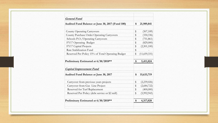| <b>General Fund</b>                                                     |                         |              |
|-------------------------------------------------------------------------|-------------------------|--------------|
| Audited Fund Balance at June 30, 2017 (Fund 100)                        | \$                      | 21,989,841   |
| <b>County Operating Carryovers</b>                                      | \$                      | (507, 189)   |
| <b>County Purchase Order Operating Carryovers</b>                       | \$                      | (330, 336)   |
| Schools P.O./Operating Carryovers                                       | \$                      | (751, 861)   |
| FY17 Operating Budget                                                   | \$                      | (829,000)    |
| FY17 Capital Projects                                                   | \$                      | (2,501,100)  |
| Rate Stabilization Fund                                                 | \$                      |              |
| Reserved Per Policy 15% of Total Operating Budget                       | \$                      | (11,659,331) |
|                                                                         | \$                      | 5,411,024    |
| Preliminary Estimated at 6/30/2018**<br><b>Capital Improvement Fund</b> |                         |              |
| Audited Fund Balance at June 30, 2017                                   | \$                      | 15,633,719   |
| Carryover from previous years projects                                  | \$                      | (2,239,026)  |
| Carryover from Gas Line Project                                         | \$                      | (2,684,722)  |
| Reserved for Turf Replacement                                           | $\sqrt[6]{\frac{1}{2}}$ | (400,000)    |
| Reserved Per Policy (debt service or \$2 mill)                          | \$                      | (5,992,943)  |